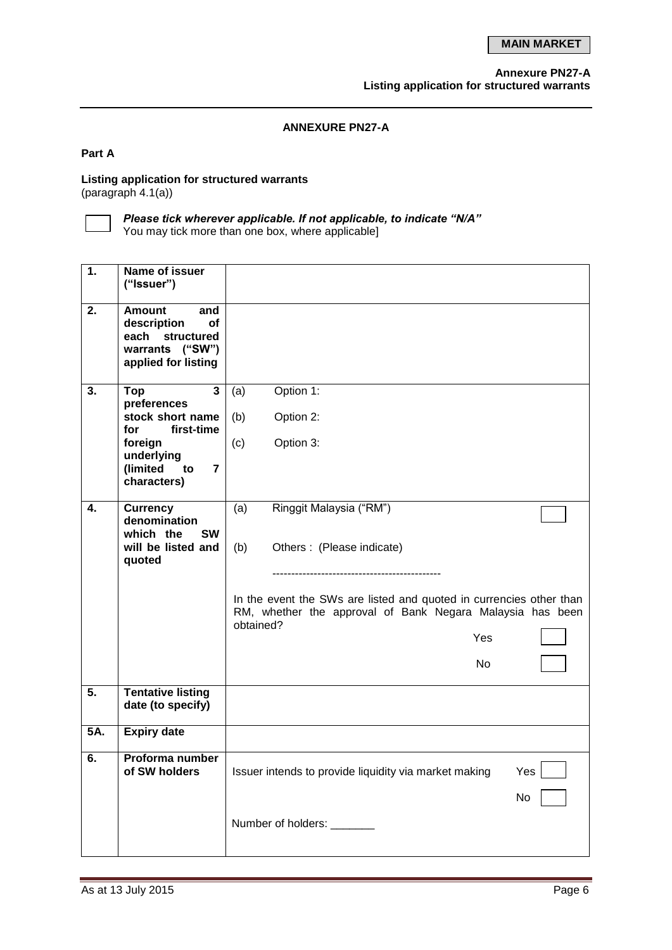## **ANNEXURE PN27-A**

#### **Part A**

## **Listing application for structured warrants**  $($ paragraph 4.1 $(a)$ )

 $\mathbf{I}$ 

*Please tick wherever applicable. If not applicable, to indicate "N/A"*

You may tick more than one box, where applicable]

| 1.  | Name of issuer<br>("Issuer")                                                                                                                                       |                                                                                                                                                                                                                                   |  |
|-----|--------------------------------------------------------------------------------------------------------------------------------------------------------------------|-----------------------------------------------------------------------------------------------------------------------------------------------------------------------------------------------------------------------------------|--|
| 2.  | <b>Amount</b><br>and<br>description<br>οf<br>each<br>structured<br>warrants ("SW")<br>applied for listing                                                          |                                                                                                                                                                                                                                   |  |
| 3.  | $\overline{\mathbf{3}}$<br>Top<br>preferences<br>stock short name<br>first-time<br>for<br>foreign<br>underlying<br>(limited<br>to<br>$\overline{7}$<br>characters) | Option 1:<br>(a)<br>(b)<br>Option 2:<br>(c)<br>Option 3:                                                                                                                                                                          |  |
| 4.  | <b>Currency</b><br>denomination<br>which the<br><b>SW</b><br>will be listed and<br>quoted                                                                          | Ringgit Malaysia ("RM")<br>(a)<br>(b)<br>Others: (Please indicate)<br>In the event the SWs are listed and quoted in currencies other than<br>RM, whether the approval of Bank Negara Malaysia has been<br>obtained?<br>Yes<br>No. |  |
| 5.  | <b>Tentative listing</b><br>date (to specify)                                                                                                                      |                                                                                                                                                                                                                                   |  |
| 5A. | <b>Expiry date</b>                                                                                                                                                 |                                                                                                                                                                                                                                   |  |
| 6.  | Proforma number<br>of SW holders                                                                                                                                   | Issuer intends to provide liquidity via market making<br>Yes<br>No<br>Number of holders: ________                                                                                                                                 |  |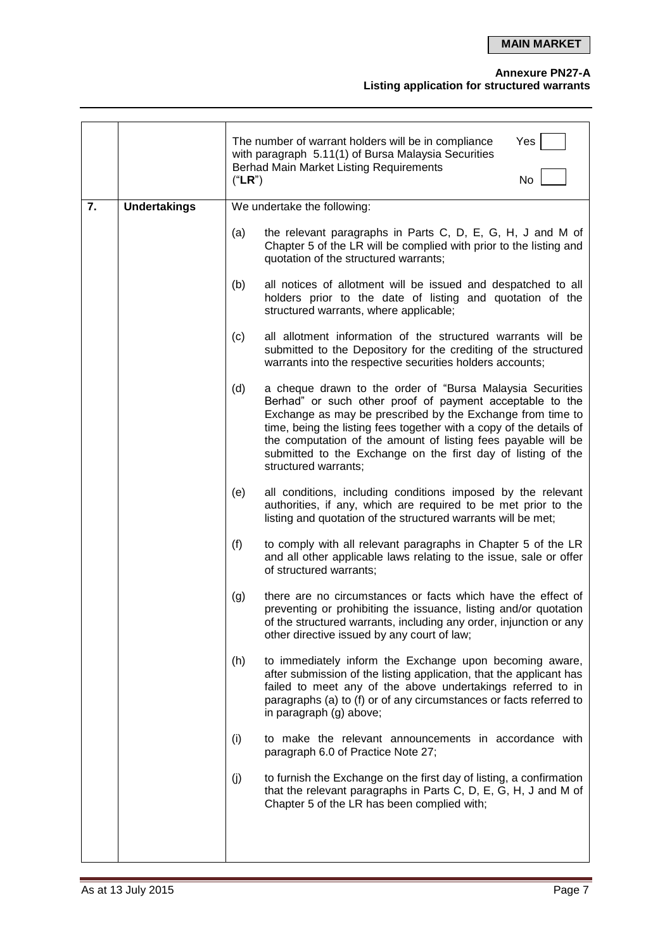**MAIN MARKET**

## **Annexure PN27-A**

#### **Listing application for structured warrants**

|    |                     |     | Yes<br>The number of warrant holders will be in compliance<br>with paragraph 5.11(1) of Bursa Malaysia Securities<br><b>Berhad Main Market Listing Requirements</b><br>No<br>("LR")                                                                                                                                                                                                                                 |  |  |
|----|---------------------|-----|---------------------------------------------------------------------------------------------------------------------------------------------------------------------------------------------------------------------------------------------------------------------------------------------------------------------------------------------------------------------------------------------------------------------|--|--|
| 7. | <b>Undertakings</b> |     | We undertake the following:                                                                                                                                                                                                                                                                                                                                                                                         |  |  |
|    |                     | (a) | the relevant paragraphs in Parts C, D, E, G, H, J and M of<br>Chapter 5 of the LR will be complied with prior to the listing and<br>quotation of the structured warrants;                                                                                                                                                                                                                                           |  |  |
|    |                     | (b) | all notices of allotment will be issued and despatched to all<br>holders prior to the date of listing and quotation of the<br>structured warrants, where applicable;                                                                                                                                                                                                                                                |  |  |
|    |                     | (c) | all allotment information of the structured warrants will be<br>submitted to the Depository for the crediting of the structured<br>warrants into the respective securities holders accounts;                                                                                                                                                                                                                        |  |  |
|    |                     | (d) | a cheque drawn to the order of "Bursa Malaysia Securities<br>Berhad" or such other proof of payment acceptable to the<br>Exchange as may be prescribed by the Exchange from time to<br>time, being the listing fees together with a copy of the details of<br>the computation of the amount of listing fees payable will be<br>submitted to the Exchange on the first day of listing of the<br>structured warrants; |  |  |
|    |                     | (e) | all conditions, including conditions imposed by the relevant<br>authorities, if any, which are required to be met prior to the<br>listing and quotation of the structured warrants will be met;                                                                                                                                                                                                                     |  |  |
|    |                     | (f) | to comply with all relevant paragraphs in Chapter 5 of the LR<br>and all other applicable laws relating to the issue, sale or offer<br>of structured warrants;                                                                                                                                                                                                                                                      |  |  |
|    |                     | (g) | there are no circumstances or facts which have the effect of<br>preventing or prohibiting the issuance, listing and/or quotation<br>of the structured warrants, including any order, injunction or any<br>other directive issued by any court of law;                                                                                                                                                               |  |  |
|    |                     | (h) | to immediately inform the Exchange upon becoming aware,<br>after submission of the listing application, that the applicant has<br>failed to meet any of the above undertakings referred to in<br>paragraphs (a) to (f) or of any circumstances or facts referred to<br>in paragraph (g) above;                                                                                                                      |  |  |
|    |                     | (i) | to make the relevant announcements in accordance with<br>paragraph 6.0 of Practice Note 27;                                                                                                                                                                                                                                                                                                                         |  |  |
|    |                     | (j) | to furnish the Exchange on the first day of listing, a confirmation<br>that the relevant paragraphs in Parts C, D, E, G, H, J and M of<br>Chapter 5 of the LR has been complied with;                                                                                                                                                                                                                               |  |  |
|    |                     |     |                                                                                                                                                                                                                                                                                                                                                                                                                     |  |  |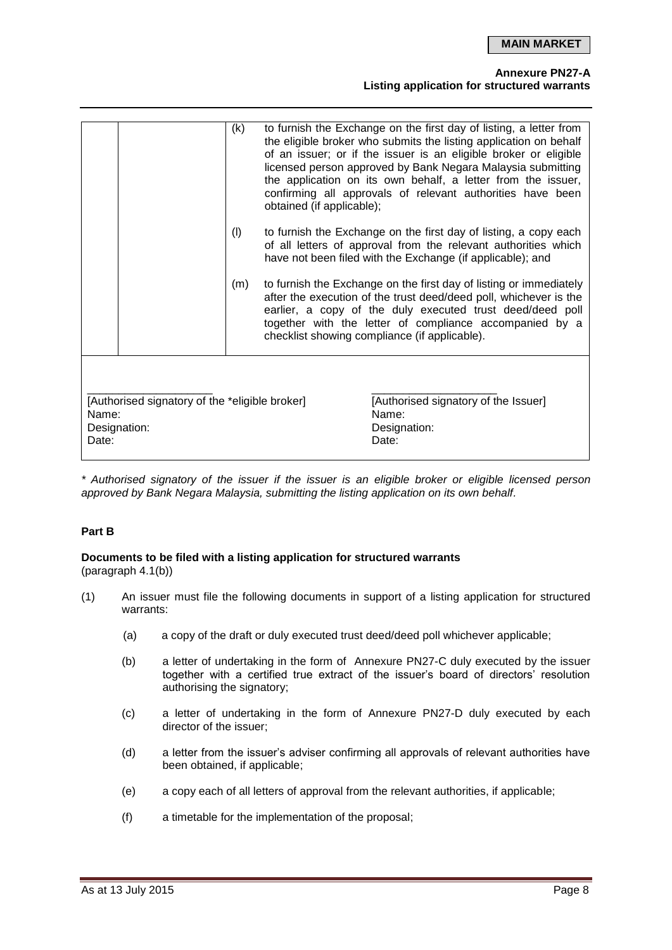**MAIN MARKET**

#### **Annexure PN27-A**

## **Listing application for structured warrants**

|                                                                                                                                                            | (k)<br>(1)<br>(m) | obtained (if applicable); | to furnish the Exchange on the first day of listing, a letter from<br>the eligible broker who submits the listing application on behalf<br>of an issuer; or if the issuer is an eligible broker or eligible<br>licensed person approved by Bank Negara Malaysia submitting<br>the application on its own behalf, a letter from the issuer,<br>confirming all approvals of relevant authorities have been<br>to furnish the Exchange on the first day of listing, a copy each<br>of all letters of approval from the relevant authorities which<br>have not been filed with the Exchange (if applicable); and<br>to furnish the Exchange on the first day of listing or immediately<br>after the execution of the trust deed/deed poll, whichever is the<br>earlier, a copy of the duly executed trust deed/deed poll<br>together with the letter of compliance accompanied by a<br>checklist showing compliance (if applicable). |  |
|------------------------------------------------------------------------------------------------------------------------------------------------------------|-------------------|---------------------------|----------------------------------------------------------------------------------------------------------------------------------------------------------------------------------------------------------------------------------------------------------------------------------------------------------------------------------------------------------------------------------------------------------------------------------------------------------------------------------------------------------------------------------------------------------------------------------------------------------------------------------------------------------------------------------------------------------------------------------------------------------------------------------------------------------------------------------------------------------------------------------------------------------------------------------|--|
| [Authorised signatory of the *eligible broker]<br>[Authorised signatory of the Issuer]<br>Name:<br>Name:<br>Designation:<br>Designation:<br>Date:<br>Date: |                   |                           |                                                                                                                                                                                                                                                                                                                                                                                                                                                                                                                                                                                                                                                                                                                                                                                                                                                                                                                                  |  |

*\* Authorised signatory of the issuer if the issuer is an eligible broker or eligible licensed person approved by Bank Negara Malaysia, submitting the listing application on its own behalf.*

## **Part B**

# **Documents to be filed with a listing application for structured warrants**

(paragraph 4.1(b))

- (1) An issuer must file the following documents in support of a listing application for structured warrants:
	- (a) a copy of the draft or duly executed trust deed/deed poll whichever applicable;
	- (b) a letter of undertaking in the form of Annexure PN27-C duly executed by the issuer together with a certified true extract of the issuer's board of directors' resolution authorising the signatory;
	- (c) a letter of undertaking in the form of Annexure PN27-D duly executed by each director of the issuer;
	- (d) a letter from the issuer's adviser confirming all approvals of relevant authorities have been obtained, if applicable;
	- (e) a copy each of all letters of approval from the relevant authorities, if applicable;
	- (f) a timetable for the implementation of the proposal;